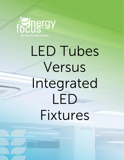

# LED Tubes Versus Integrated LED Fixtures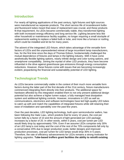### **Introduction**

For nearly all lighting applications of the past century, light fixtures and light sources were manufactured as separate products. The short service life of incandescent bulbs and fluorescent tubes meant that ease of replacement was crucial, and these products fit that requirement. As LEDs became commercially viable, they transformed lighting with both increased energy efficiency and long service life. Lighting became less like other household or maintenance facility supplies, no longer requiring a small stockpile of replacements waiting to replace a failed bulb or tube, and more like a furnace or roofing, which could be installed and let be for many years.

The advent of the integrated LED fixture, which takes advantage of the versatile form factors of LEDs and the unprecedented retreat of large incumbent lamp manufacturers, has, for the first time since the days of Thomas Edison, fundamentally challenged the mutual dependence of fixtures and lamps in the lighting industry. With it have come aesthetically flexible lighting options, nearly infinite design and color tuning options, and smartphone compatibility. Joining the myriad of other LED products, they have become influential in the drive against greenhouse gas emissions through energy consumption reductions. However, these fixtures come with issues that are becoming increasingly evident, jeopardizing the financial and sustainability potential of LED lighting.

## **Technological Trends**

As LEDs became commercially viable in the context of their much more versatile form factors during the latter part of the first decade of the 21st century, fixture manufacturers commenced integrating them directly into their products. The additional space for hardware afforded by this integration enabled them to not only present additional design potential but also achieve a higher lumen output, a fully managed heat dissipation system and additional lighting controls. However, innovations in LED as well as communications, electronics and software technologies have led high-quality LED tubes to catch up with and match the capabilities of integrated fixtures while still retaining their ease of installation and operability over the past few years.

Over the past decades, LED lighting technology, built upon semiconductor wafers, has been following the Haitz Law<sub>1</sub>, which predicts that for every 10 years, the cost per lumen falls by a factor of 10 and the amount of light generated per LED package increases by a factor of 20. In other words, within 5 years, cost per lumen per LED would likely drop by approximately 70%. Even if we assume LEDs comprise only 30% of an LED lamp's cost today and the cost of the rest of the 70% components fall only by a conservative 20% due to larger production scale, better designs and improved production processes, cost per lumen for LED lamps would drop 35% in 5 years. Therefore, the rate of efficiency advancements for LEDs remains a strong motivator for lighting upgrades. **Tube-based troffers grant facilities the ability to retrofit existing**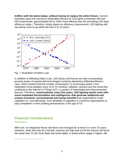**troffers with the latest lamps, without having to replace the entire fixture**. Current estimates place the maximum achievable efficacy for LED lights at between 200 and 250 lumens/watt, approximately 50 to 100% more efficient than the prevailing LED lamp efficiency today.<sup>2</sup> Therefore, simply based on efficiency improvement, LED lighting still has plenty room to go within the next 5 to 10 years.



Fig. 1: Illustration of Haitz's Law

In addition to following Haitz's Law, LED lamps and fixtures are also incorporating growing arrays of exponential technologies involving electronics (following Moore's Law3, which predicts that the number of transistors, or processing speed, of an integrated circuit doubles every 18 to 24 months), software, sensors and the cloud that contribute to the Internet of Things (IoT)—a system of interrelated and interconnected devices. Therefore, **conservatively, every five years, LED lighting would come with much-expanded functionalities and intelligences that generate additional and unseen economic, environmental and human benefits** that organizations could capitalize on, cost-effectively. Such flexibility of upgrades is crucial for organizations to stay competitive in their building performances in the age of IoT.

# **Financial Considerations**

#### **Aesthetics**

With luck, no integrated fixture will have to be changed for at least 5 or even 10 years. However, while that may be a benefit, chances are high that not all the fixtures will fail at the same time. It's far more likely that some lights, in areas where usage is higher, will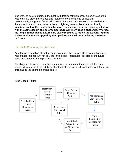stop working before others. In the past, with traditional fluorescent tubes, the solution was to simply order more tubes and replace the ones that had burned out. Unfortunately, integrated fixtures don't offer that option due to their all-in-one design the entire fixture will need to be replaced. **Lighting companies don't habitually maintain stock of their entire line for more than a few years, so replacing a fixture with the same design and color temperature will likely pose a challenge. Whereas the lamps in tube-based fixtures are easily replaced to match the existing lighting while simultaneously upgrading their performance, without replacing the troffer or fixture.**

#### Life-Cycle Cost Analysis Overview

An effective evaluation of lighting options requires the use of a life-cycle cost analysis, which takes into account not only the initial cost of installation, but also all the future costs associated with the particular product.

The diagrams below of a total lighting upgrade demonstrate the cycle cutoff of tubebased fixtures using Type B tubes<sup>4</sup> after the troffer is installed, contrasted with the cycle of replacing the entire integrated fixture.



Tube-Based Fixture: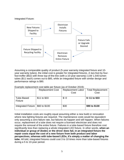

Assuming a comparable quality of product (5-year warranty integrated fixture and 10 year warranty tubes), the initial cost is greater for integrated fixtures. A two-foot by fourfoot troffer (\$52) with three top-of-the-line (with a 10-year warranty) 11W 1,540-lumen tubes (\$11 each) comes out to \$85, while an integrated fixture with similar design and performance ratings is \$90.

Example replacement cost table per fixture (as of October 2019):

|                              | <b>Replacement Cost</b> | <b>Replacement Labor</b> |                |  |
|------------------------------|-------------------------|--------------------------|----------------|--|
|                              |                         | Cost                     | Cost           |  |
| Tube-Based<br><b>Fixture</b> | \$11 to \$33            | $$ -0$                   | $$-11$ to \$33 |  |
| <b>Integrated Fixture</b>    | \$60 to \$100           | \$30                     | \$90 to \$130  |  |

Initial installation costs are roughly equal assuming either a new build or renovation where new lighting fixtures are required. The maintenance costs would be equivalent only assuming a zero-failure rate, but failures do happen and will happen. When failures occur, replacement of a tube does not require a licensed electrician and does not require the removal of the entire fixture. Failures in a tube-based fixture therefore cost significantly less than replacing a whole integrated LED fixture. In other words, **when an individual or group of diodes or the driver does fail, in an integrated fixture the repair costs equal the cost of a new fixture from both product and labor perspectives, whereas with tube-based LEDs, it's simply a matter of changing the tube.** All told, integrated fixtures could cost 3 to 10 times more than tube-based fixtures during a 5 to 10-year period.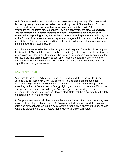End of serviceable life costs are where the two options emphatically differ. Integrated fixtures, by design, are intended to be fitted and forgotten. LEDs are known for their long life and low maintenance with warranty coverage on tubes up to 10 years.<sup>5</sup> Warranties for integrated fixtures generally cap out at 5 years. **It's also exceedingly rare for warranties to cover installation costs, which won't have much of an impact when replacing a single tube but far more of an impact when replacing an entire fixture.** This drives the cost to replace an integrated fixture far above the entire trio of tubes, ~\$90 per fixture (in addition to the cost of a licensed electrician to remove the old fixture and install a new one).

In addition, the serviceable life of the design for an integrated fixture is only as long as the life of the LEDs and the power supply electronics (i.e. drivers) themselves, since the fixture is one with the lamp. The primary benefit of a tube-based system, outside of the significant savings on replacements over time, is its interoperability with new more efficient tubes (for the life of the troffer), which could bring additional energy savings and capabilities to the lighting system.

#### **Environmental**

According to the "2019 Advancing Net Zero Status Report" from the World Green Building Council, approximately 40% of energy-related global greenhouse gas emissions are generated by commercial, residential, and industrial buildings.<sup>6</sup> And according to the US Department of Energy, lighting accounts for more than 20% of the energy used by commercial buildings.<sup>7</sup> For any organization looking to reduce its environmental impact, lighting is the place to start. Note that there are significant pitfalls to not taking a life-cycle approach.

A life-cycle assessment calculates the environmental impact of a product by taking into account all the stages of a product's life from raw material extraction all the way to end of life and disposal or recycling. It's easy to take a reduction in energy efficiency at facevalue and disregard the other factors that dictate environmental impact.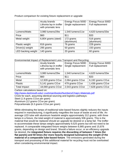Product comparison for existing fixture replacement or upgrade:

|                    | <b>Acuity brands</b><br>Lithonia lay-in troffer<br>with prismatic lens | Energy Focus 500D<br>Single replacement | Energy Focus 500D<br>Full replacement |
|--------------------|------------------------------------------------------------------------|-----------------------------------------|---------------------------------------|
| Lumens/Watts       | 3,980 lumens/29w                                                       | 1,540 lumens/11w                        | 4,620 lumens/33w                      |
| Price              | \$60                                                                   | \$11                                    | \$33                                  |
| Metal weight       | 6,804 grams (steel)                                                    | 172 grams<br>(aluminum)                 | 516 grams<br>(aluminum)               |
| Plastic weight     | 816 grams                                                              | 76 grams                                | 228 grams                             |
| Driver(s) weight   | 295 grams                                                              | 50 grams                                | 150 grams                             |
| LED backing weight | 140 grams                                                              | 20 grams                                | 60 grams                              |

#### Environmental Impact of Replacement Less Transport and Recycling:

|                     | <b>Acuity brands</b>                           | Energy Focus 500D             | Energy Focus 500D    |  |
|---------------------|------------------------------------------------|-------------------------------|----------------------|--|
|                     | Lithonia lay-in troffer<br>with prismatic lens | Single replacement            | Full replacement     |  |
| Lumens/Watts        | 3,980 lumens/29w                               | 1,540 lumens/11w              | 4,620 lumens/33w     |  |
| Price               | \$60                                           | \$11                          | \$33                 |  |
| Metal               | 12,928 grams CO <sub>2</sub> e                 | $2,064$ grams $CO2e$          | $6,192$ grams $CO2e$ |  |
| <b>Plastic</b>      | 5,141 grams CO <sub>2</sub> e                  | 479 grams CO <sub>2</sub> e   | 1,436 grams $CO2e$   |  |
| <b>Total Impact</b> | 18,069 grams CO <sub>2</sub> e                 | 2,543 grams CO <sub>2</sub> e | $7,628$ grams $CO2e$ |  |

Carbon calculations based on:

<http://www.dartmouth.edu/~cushman/books/Numbers/Chap1-Materials.pdf> CO2e for each, assuming identical sourcing and logistics pathways:

Steel (1.9 grams CO<sub>2</sub>e per gram)

Aluminum (12 grams CO2e per gram)

Polycarbonate (6.3 grams CO<sub>2</sub>e per gram)

While eliminating the lamps of traditional tube-based fixtures slightly reduces the inputs required in manufacturing, it significantly magnifies the issue of waste at end of life. An average LED tube with aluminum heatsink weighs approximately 312 grams; with three lamps in a fixture, the total weight of material is approximately 936 grams. This is the material that would be replaced should an upgrade be desired or a lamp fail. The troffer to accommodate these lamps weighs approximately 9,525 grams but will not need to be replaced. A comparable integrated fixture weighs between 6,985 grams and 15,876 grams, depending on design and brand. Should a failure occur, or an efficiency upgrade be desired, the **integrated fixture requires the discarding of between 7 times (for flat panels) and 50 times (for more heavily designed luminaires) the weight of the material of a comparable tube-based fixture**. The emissions generated during the transport and processing of this additional material for recycling must not be overlooked when considering environmental impact.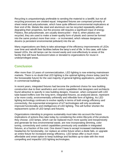Recycling is unquestioningly preferable to sending the material to a landfill, but not all recycling processes are created equal. Integrated fixtures are comprised primarily of sheet metal and polycarbonate, which have quite different environmental implications at their end of life. Metals like steel and aluminum can be recycled repeatedly without degrading their properties, but the process still requires a significant input of energy. Plastics, like polycarbonate, are usually downcycled – that is, when plastics are recycled, they are used to make a lower-quality form of plastic and cannot be formed into the same product more than once – or incinerated, which release dangerous dioxins (a persistent environmental pollutant) into the air.

Many organizations are likely to take advantage of the efficiency improvements of LEDs over time and retrofit their facilities before the lamp's end of life. In this case, with tubebased LEDs, the old lamps can be moved easily and cost-effectively to areas of the facility that still have fluorescent tubes or donated to organizations for reuse in underprivileged areas.

#### **Conclusion**

After more than 10 years of commercialization, LED lighting is now entering mainstream markets. There is no doubt that LED lighting is the optimal lighting choice today (and for the foreseeable future) for the vast majority of general lighting applications, particularly in commercial buildings.

In recent years, integrated fixtures had become the preferred choice for new building construction due to their aesthetics and control capabilities that designers and architects found attractive to specify in new building designs. However, when compared with LED tube-based troffers over the long term, integrated fixtures, as analyzed above, represent a far more costly, environmentally unfriendly and inflexible form of lighting. As LED lighting technology continues to evolve rapidly in terms of both energy efficiency and connectivity, the exponential emergence of IoT technologies will only accelerate improved functionality and intelligences of LED lighting. This will further shorten the replacement cycles of LED lamps and fixtures.

Organizations intending to progress sustainably must take into account the future implications of actions they take today by considering the entire lifecycle of the products they choose. LED lamps, which can be replaced much more quickly and inexpensively and generate far less environmental waste, are now incorporating dimming, color tuning, connectivity and control capabilities previously only available in integrated fixtures, at a fraction of the cost. One doesn't have to accept increased maintenance headaches for functionality, nor replace an entire fixture when a diode fails, or upgrade an entire fixture for increased energy efficiency. LED lamps offer a much more affordable and smart option to keep buildings and facilities up-to-date with the most compelling and impactful LED lighting technologies.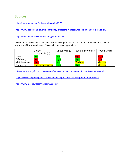### **Sources**

<sup>1</sup> <https://www.nature.com/articles/nphoton.2006.78>

<sup>2</sup> <https://www.dial.de/en/blog/article/efficiency-of-ledsthe-highest-luminous-efficacy-of-a-white-led/>

<sup>3</sup> <https://www.britannica.com/technology/Moores-law>

<sup>4</sup> There are currently four options available for wiring LED tubes. Type-B LED tubes offer the optimal balance of efficiency and ease of installation for most applications.

|             | <b>Ballast</b><br>Compatible (A)   |             | Direct Wire $(B)$   Remote Driver $(C)$ | Hybrid (A+B)  |
|-------------|------------------------------------|-------------|-----------------------------------------|---------------|
| Cost        | $\overline{\mathsf{L}\mathsf{OW}}$ | LOW         | <b>High</b>                             | High          |
| Efficiency  | _ow                                | High        | High                                    | Low           |
| Maintenance | <b>Aigh</b>                        | Low         | <b>Medium</b>                           | <b>Medium</b> |
| Capability  | <b>Ballast dependent</b>           | <b>High</b> | High                                    | <b>Medium</b> |

<sup>5</sup> <https://www.energyfocus.com/company/terms-and-conditions/energy-focus-10-year-warranty/>

<sup>6</sup> <https://www.worldgbc.org/news-media/advancing-net-zero-status-report-2019-publication>

<sup>7</sup> <https://www.nrel.gov/docs/fy14osti/60197.pdf>